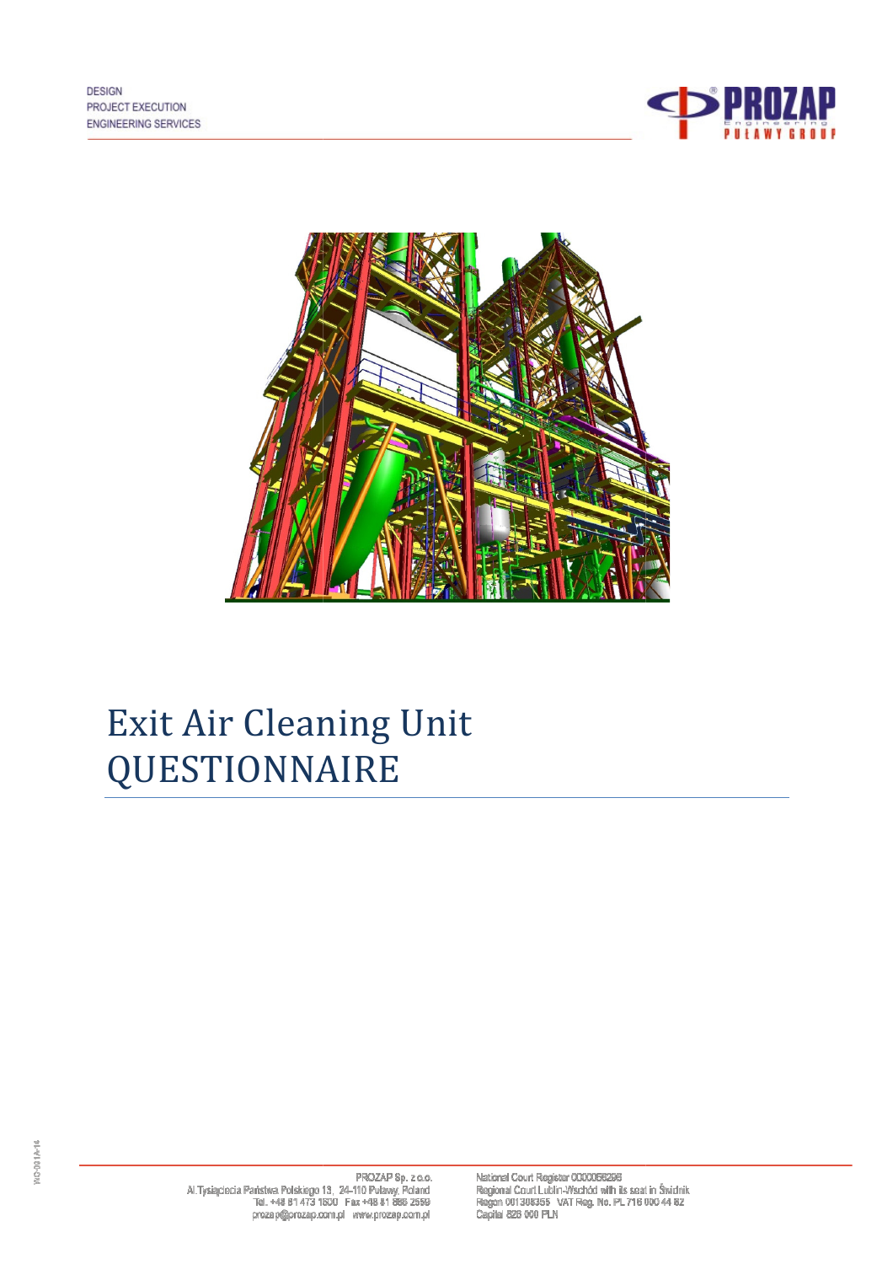



# Exit Air Cleaning Unit QUESTIONNAIRE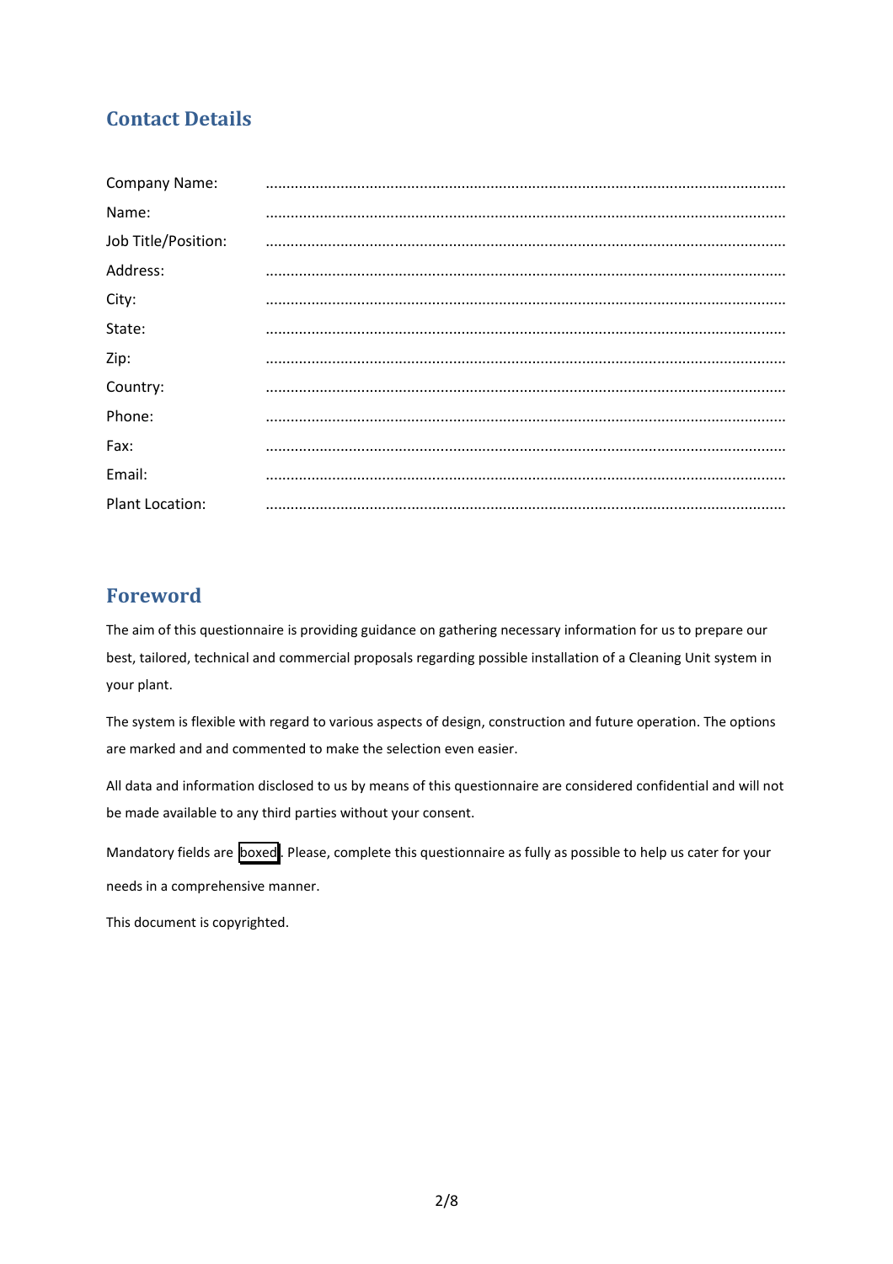# Contact Details

| Company Name:          |  |
|------------------------|--|
| Name:                  |  |
| Job Title/Position:    |  |
| Address:               |  |
| City:                  |  |
| State:                 |  |
| Zip:                   |  |
| Country:               |  |
| Phone:                 |  |
| Fax:                   |  |
| Email:                 |  |
| <b>Plant Location:</b> |  |

# Foreword

The aim of this questionnaire is providing guidance on gathering necessary information for us to prepare our best, tailored, technical and commercial proposals regarding possible installation of a Cleaning Unit system in your plant.

The system is flexible with regard to various aspects of design, construction and future operation. The options are marked and and commented to make the selection even easier.

All data and information disclosed to us by means of this questionnaire are considered confidential and will not be made available to any third parties without your consent.

Mandatory fields are boxed. Please, complete this questionnaire as fully as possible to help us cater for your needs in a comprehensive manner.

This document is copyrighted.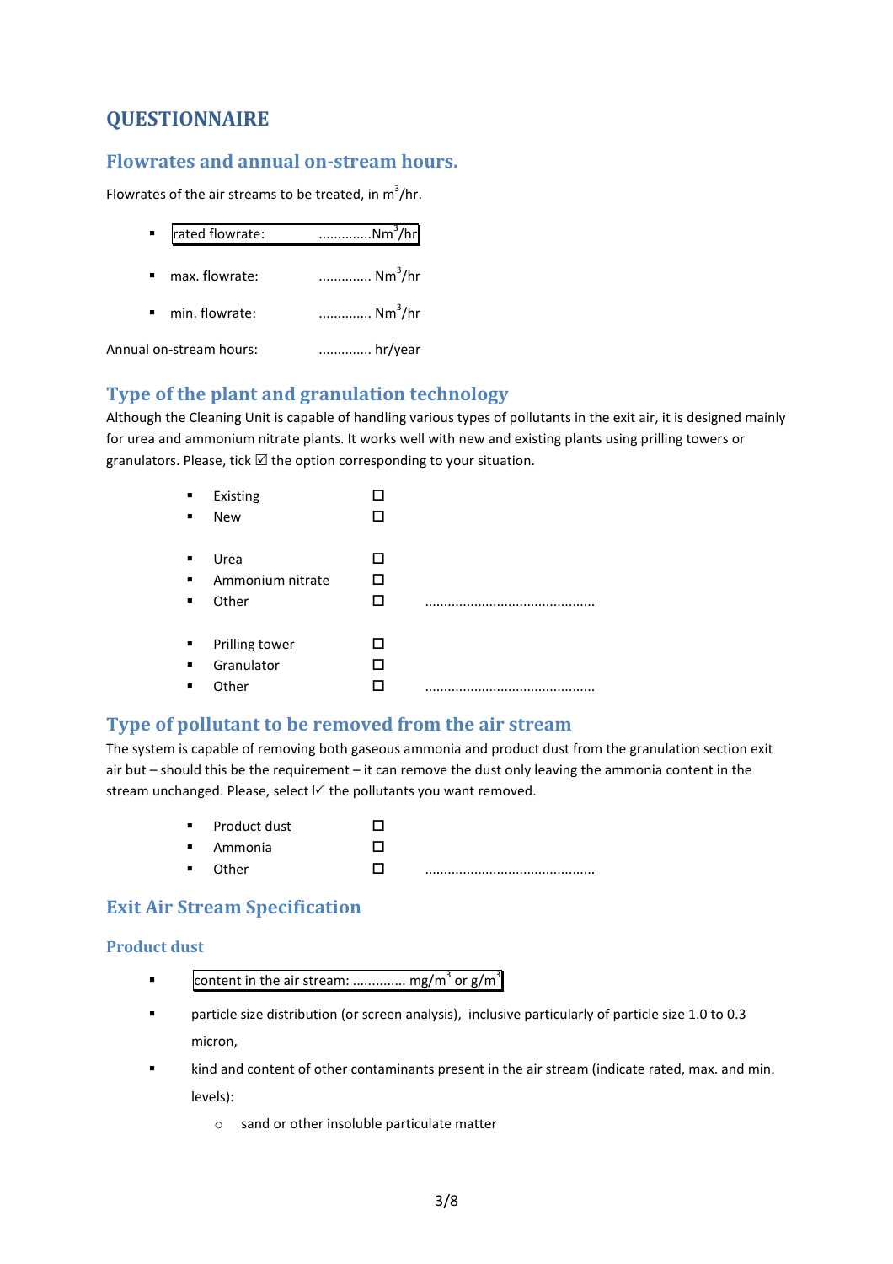# QUESTIONNAIRE

# Flowrates and annual on-stream hours.

Flowrates of the air streams to be treated, in  $m^3/hr$ .

| rated flowrate:                  | Nm <sup>3</sup> /hr |
|----------------------------------|---------------------|
| max. flowrate:                   | $Nm^3/hr$           |
| min. flowrate:<br>$\blacksquare$ | Nm <sup>3</sup> /hr |
| Annual on-stream hours:          | hr/year             |

# Type of the plant and granulation technology

Although the Cleaning Unit is capable of handling various types of pollutants in the exit air, it is designed mainly for urea and ammonium nitrate plants. It works well with new and existing plants using prilling towers or granulators. Please, tick  $\boxtimes$  the option corresponding to your situation.

| $\blacksquare$ | Existing         |  |
|----------------|------------------|--|
| п              | <b>New</b>       |  |
|                |                  |  |
| ٠              | Urea             |  |
|                | Ammonium nitrate |  |
| ٠              | Other            |  |
|                |                  |  |
| ٠              | Prilling tower   |  |
|                | Granulator       |  |
| п              | Other            |  |
|                |                  |  |

# Type of pollutant to be removed from the air stream

The system is capable of removing both gaseous ammonia and product dust from the granulation section exit air but – should this be the requirement – it can remove the dust only leaving the ammonia content in the stream unchanged. Please, select  $\boxtimes$  the pollutants you want removed.

- Product dust  $\Box$
- Ammonia - $\Box$
- Other  $\Box$ .............................................

# Exit Air Stream Specification

## Product dust

- **•** Content in the air stream: ............... mg/m<sup>3</sup> or g/m<sup>3</sup>
- particle size distribution (or screen analysis), inclusive particularly of particle size 1.0 to 0.3 micron,
- kind and content of other contaminants present in the air stream (indicate rated, max. and min. levels):
	- o sand or other insoluble particulate matter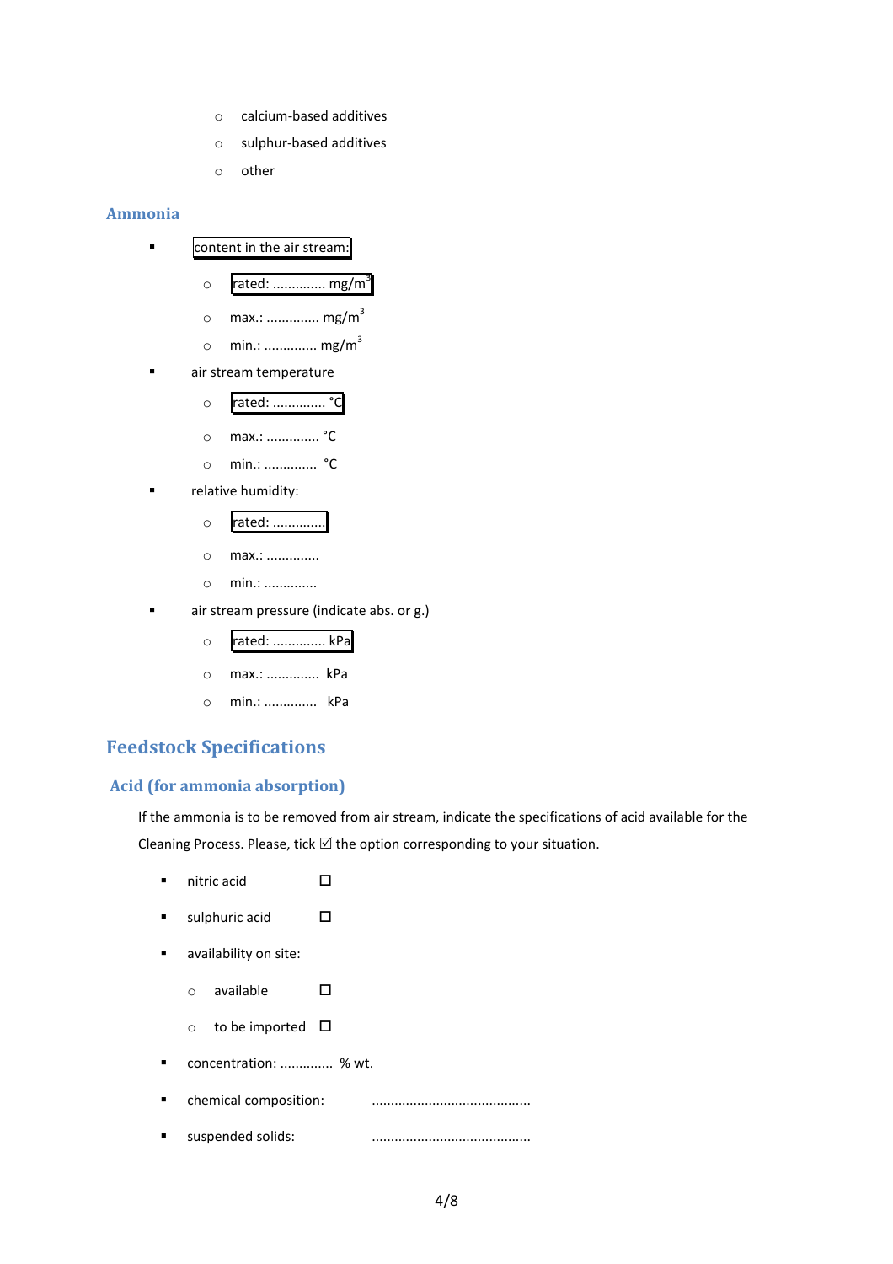- o calcium-based additives
- o sulphur-based additives
- o other

#### Ammonia

- **EXECO** content in the air stream:
	- $\circ$  rated: ............... mg/m<sup>3</sup>
	- o max.: .............. mg/m<sup>3</sup>
	- $\circ$  min.: ............... mg/m<sup>3</sup>
	- air stream temperature
		- o rated: .............. °C
		- o max.: .............. °C
		- o min.: .............. °C
- relative humidity:
	- o rated: ..............
	- o max.: ..............
	- o min.: ..............
- air stream pressure (indicate abs. or g.)
	- o rated: .............. kPa
	- o max.: .............. kPa
	- o min.: .............. kPa

## Feedstock Specifications

#### Acid (for ammonia absorption)

If the ammonia is to be removed from air stream, indicate the specifications of acid available for the Cleaning Process. Please, tick  $\boxtimes$  the option corresponding to your situation.

- $\blacksquare$  nitric acid  $\square$
- $\blacksquare$  sulphuric acid  $\square$
- availability on site:
	- $\circ$  available  $\Box$
	- $\circ$  to be imported  $\Box$
- concentration: .............. % wt.
- chemical composition: ..........................................
- suspended solids: ..........................................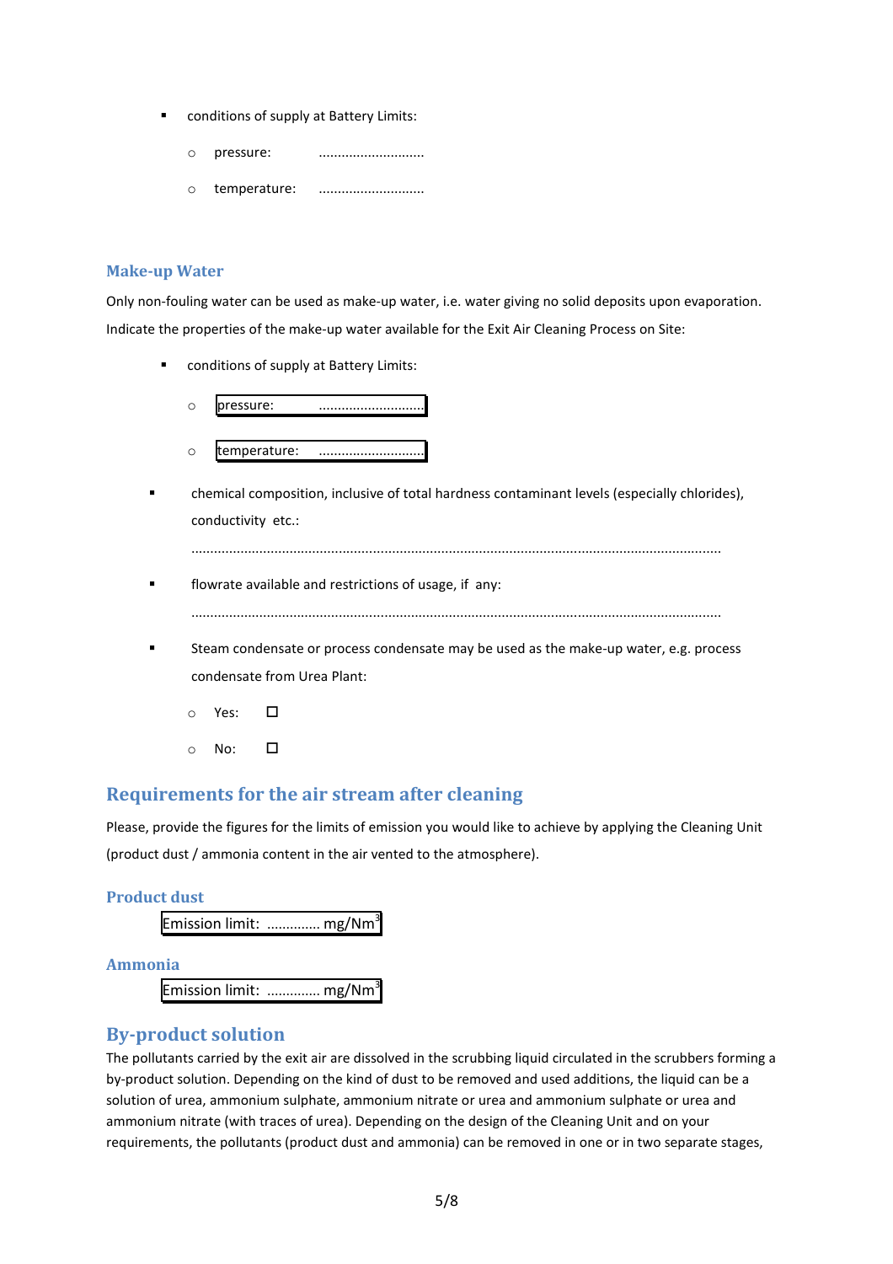- conditions of supply at Battery Limits:
	- o pressure: ............................
	- o temperature: ............................

#### Make-up Water

Only non-fouling water can be used as make-up water, i.e. water giving no solid deposits upon evaporation. Indicate the properties of the make-up water available for the Exit Air Cleaning Process on Site:

conditions of supply at Battery Limits:



 chemical composition, inclusive of total hardness contaminant levels (especially chlorides), conductivity etc.:

............................................................................................................................................

- **Fig. 3** flowrate available and restrictions of usage, if any: ............................................................................................................................................
- Steam condensate or process condensate may be used as the make-up water, e.g. process condensate from Urea Plant:
	- $\circ$  Yes:  $\Box$
	- $\circ$  No:  $\Box$

## Requirements for the air stream after cleaning

Please, provide the figures for the limits of emission you would like to achieve by applying the Cleaning Unit (product dust / ammonia content in the air vented to the atmosphere).

#### Product dust

Emission limit: ............... mg/Nm<sup>3</sup>

#### Ammonia

Emission limit: ............... mg/Nm<sup>3</sup>

## By-product solution

The pollutants carried by the exit air are dissolved in the scrubbing liquid circulated in the scrubbers forming a by-product solution. Depending on the kind of dust to be removed and used additions, the liquid can be a solution of urea, ammonium sulphate, ammonium nitrate or urea and ammonium sulphate or urea and ammonium nitrate (with traces of urea). Depending on the design of the Cleaning Unit and on your requirements, the pollutants (product dust and ammonia) can be removed in one or in two separate stages,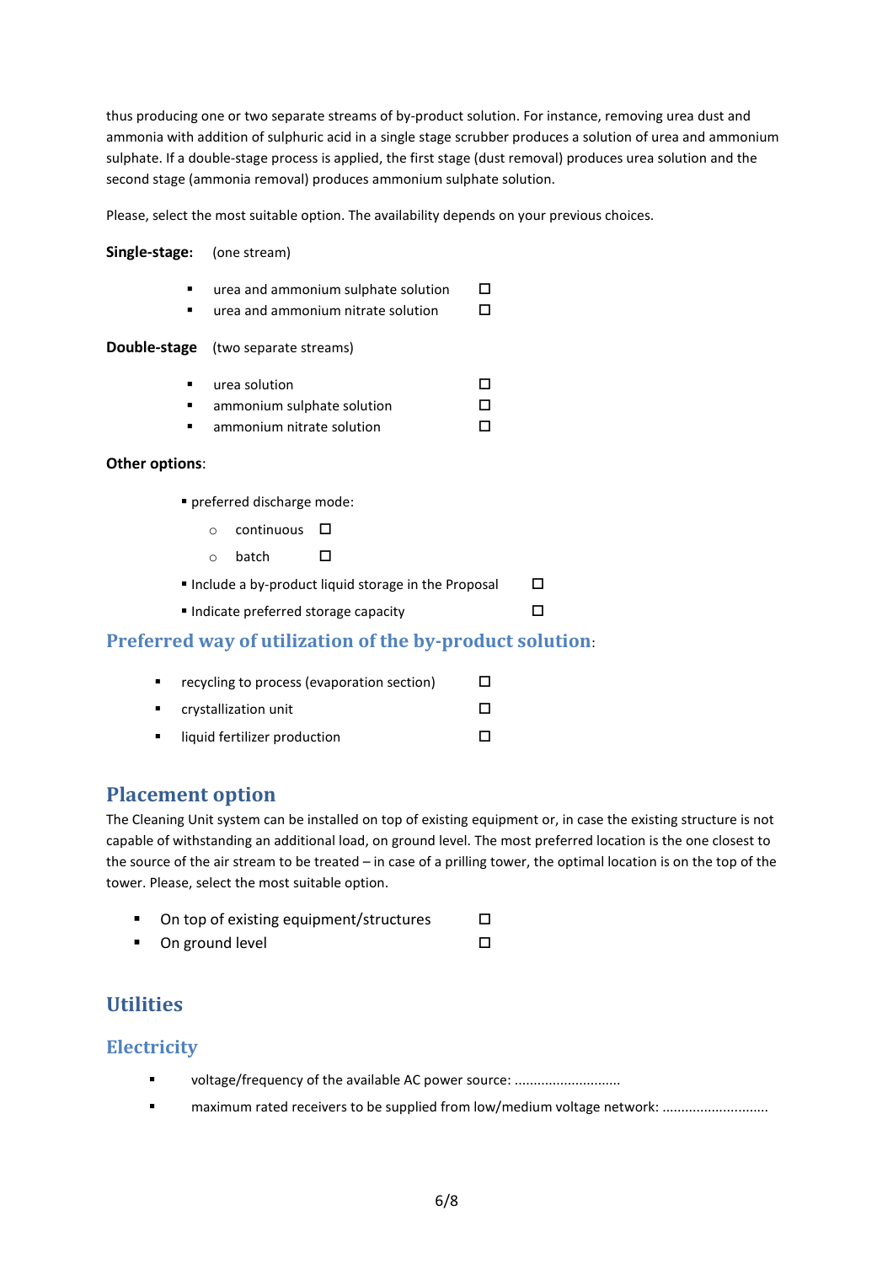thus producing one or two separate streams of by-product solution. For instance, removing urea dust and ammonia with addition of sulphuric acid in a single stage scrubber produces a solution of urea and ammonium sulphate. If a double-stage process is applied, the first stage (dust removal) produces urea solution and the second stage (ammonia removal) produces ammonium sulphate solution.

Please, select the most suitable option. The availability depends on your previous choices.

#### Single-stage: (one stream)

- $\blacksquare$  urea and ammonium sulphate solution  $\Box$
- $\blacksquare$  urea and ammonium nitrate solution  $\Box$

#### Double-stage (two separate streams)

- $u$ rea solution  $\Box$  $a$ mmonium sulphate solution  $\Box$
- **ammonium nitrate solution**  $\Box$

#### Other options:

- preferred discharge mode:
	- $\circ$  continuous  $\Box$
	- $\circ$  batch  $\Box$
- Include a by-product liquid storage in the Proposal  $\Box$
- $\blacksquare$  Indicate preferred storage capacity

## Preferred way of utilization of the by-product solution:

| recycling to process (evaporation section) | $\mathsf{L}$ |
|--------------------------------------------|--------------|
| crystallization unit                       | $\mathbf{I}$ |
| liquid fertilizer production               |              |

## Placement option

The Cleaning Unit system can be installed on top of existing equipment or, in case the existing structure is not capable of withstanding an additional load, on ground level. The most preferred location is the one closest to the source of the air stream to be treated – in case of a prilling tower, the optimal location is on the top of the tower. Please, select the most suitable option.

 $\Box$ 

| On top of existing equipment/structures |  |
|-----------------------------------------|--|
|                                         |  |

On ground level  $\Box$ 

# **Utilities**

## **Electricity**

- voltage/frequency of the available AC power source: ............................
- **Example 3** maximum rated receivers to be supplied from low/medium voltage network: ...........................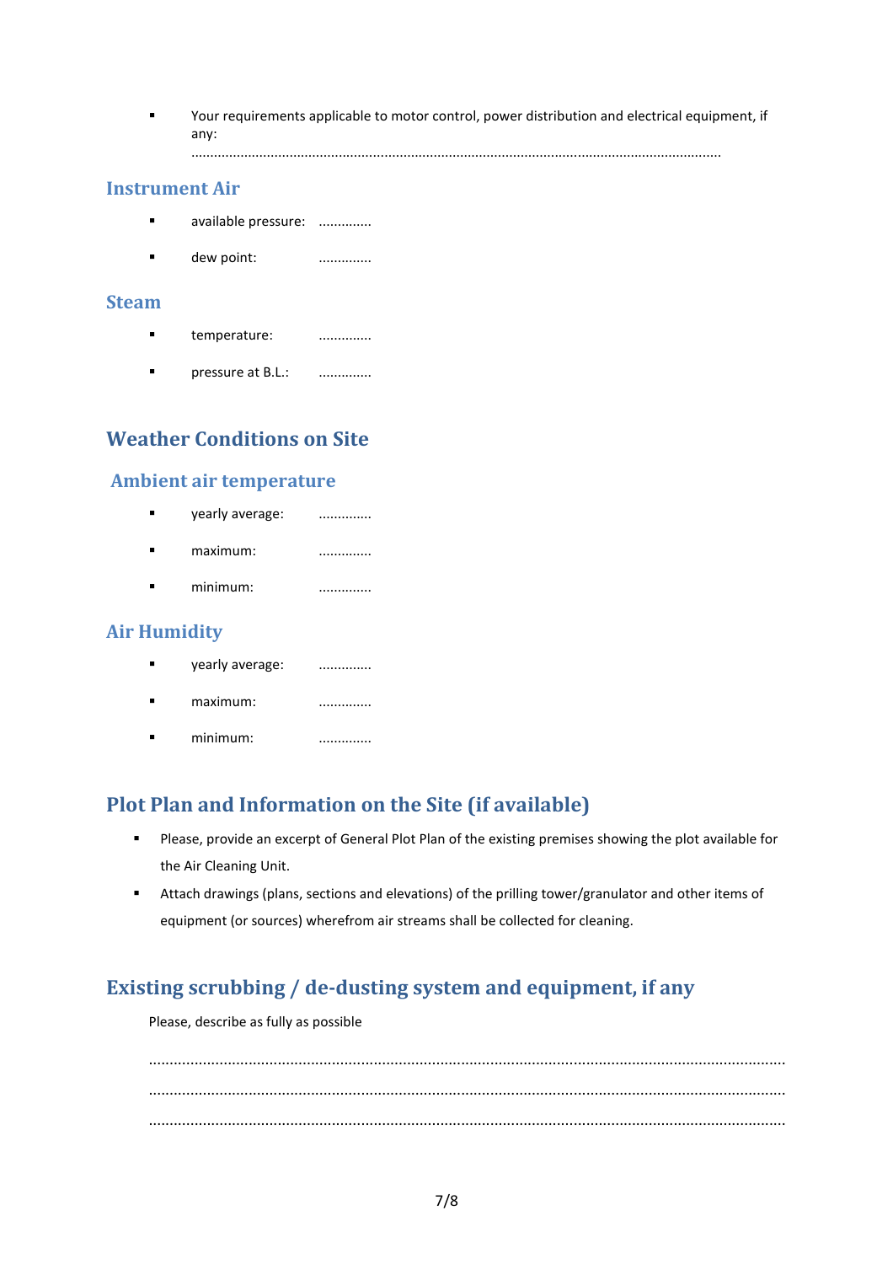Your requirements applicable to motor control, power distribution and electrical equipment, if any:

............................................................................................................................................

### Instrument Air

- **available pressure:** ..............
- **dew point:** ...............

#### Steam

- **temperature:** ...............
- **Physical Example 21 B.L.:** ................

# Weather Conditions on Site

## Ambient air temperature

**vearly average:** ............... maximum: .............. **•** minimum: ................

## Air Humidity

- **vearly average:** ...............
- maximum: ..............
- minimum: ................

# Plot Plan and Information on the Site (if available)

- Please, provide an excerpt of General Plot Plan of the existing premises showing the plot available for the Air Cleaning Unit.
- Attach drawings (plans, sections and elevations) of the prilling tower/granulator and other items of equipment (or sources) wherefrom air streams shall be collected for cleaning.

# Existing scrubbing / de-dusting system and equipment, if any

Please, describe as fully as possible

......................................................................................................................................................... ......................................................................................................................................................... .........................................................................................................................................................